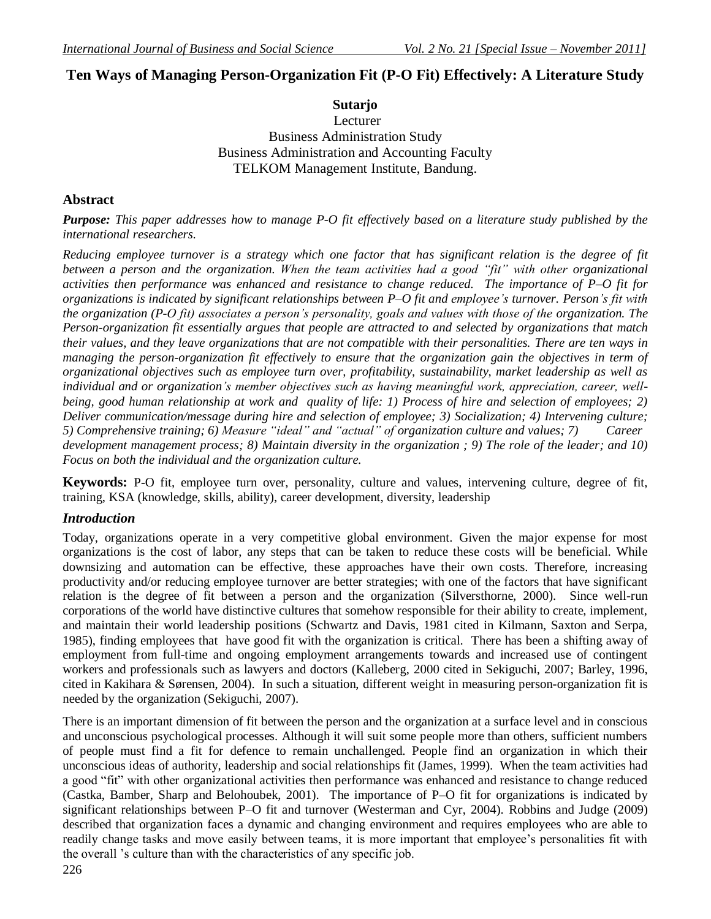# **Ten Ways of Managing Person-Organization Fit (P-O Fit) Effectively: A Literature Study**

**Sutarjo** Lecturer Business Administration Study Business Administration and Accounting Faculty TELKOM Management Institute, Bandung.

# **Abstract**

*Purpose: This paper addresses how to manage P-O fit effectively based on a literature study published by the international researchers.*

*Reducing employee turnover is a strategy which one factor that has significant relation is the degree of fit between a person and the organization. When the team activities had a good "fit" with other organizational activities then performance was enhanced and resistance to change reduced. The importance of P–O fit for organizations is indicated by significant relationships between P–O fit and employee's turnover. Person's fit with the organization (P-O fit) associates a person's personality, goals and values with those of the organization. The Person-organization fit essentially argues that people are attracted to and selected by organizations that match their values, and they leave organizations that are not compatible with their personalities. There are ten ways in managing the person-organization fit effectively to ensure that the organization gain the objectives in term of organizational objectives such as employee turn over, profitability, sustainability, market leadership as well as individual and or organization's member objectives such as having meaningful work, appreciation, career, wellbeing, good human relationship at work and quality of life: 1) Process of hire and selection of employees; 2) Deliver communication/message during hire and selection of employee; 3) Socialization; 4) Intervening culture; 5) Comprehensive training; 6) Measure "ideal" and "actual" of organization culture and values; 7) Career development management process; 8) Maintain diversity in the organization ; 9) The role of the leader; and 10) Focus on both the individual and the organization culture.*

**Keywords:** P-O fit, employee turn over, personality, culture and values, intervening culture, degree of fit, training, KSA (knowledge, skills, ability), career development, diversity, leadership

# *Introduction*

Today, organizations operate in a very competitive global environment. Given the major expense for most organizations is the cost of labor, any steps that can be taken to reduce these costs will be beneficial. While downsizing and automation can be effective, these approaches have their own costs. Therefore, increasing productivity and/or reducing employee turnover are better strategies; with one of the factors that have significant relation is the degree of fit between a person and the organization (Silversthorne, 2000). Since well-run corporations of the world have distinctive cultures that somehow responsible for their ability to create, implement, and maintain their world leadership positions (Schwartz and Davis, 1981 cited in Kilmann, Saxton and Serpa, 1985), finding employees that have good fit with the organization is critical. There has been a shifting away of employment from full-time and ongoing employment arrangements towards and increased use of contingent workers and professionals such as lawyers and doctors (Kalleberg, 2000 cited in Sekiguchi, 2007; Barley, 1996, cited in Kakihara & Sørensen, 2004). In such a situation, different weight in measuring person-organization fit is needed by the organization (Sekiguchi, 2007).

There is an important dimension of fit between the person and the organization at a surface level and in conscious and unconscious psychological processes. Although it will suit some people more than others, sufficient numbers of people must find a fit for defence to remain unchallenged. People find an organization in which their unconscious ideas of authority, leadership and social relationships fit (James, 1999). When the team activities had a good "fit" with other organizational activities then performance was enhanced and resistance to change reduced (Castka, Bamber, Sharp and Belohoubek, 2001). The importance of P–O fit for organizations is indicated by significant relationships between P–O fit and turnover (Westerman and Cyr, 2004). Robbins and Judge (2009) described that organization faces a dynamic and changing environment and requires employees who are able to readily change tasks and move easily between teams, it is more important that employee's personalities fit with the overall "s culture than with the characteristics of any specific job.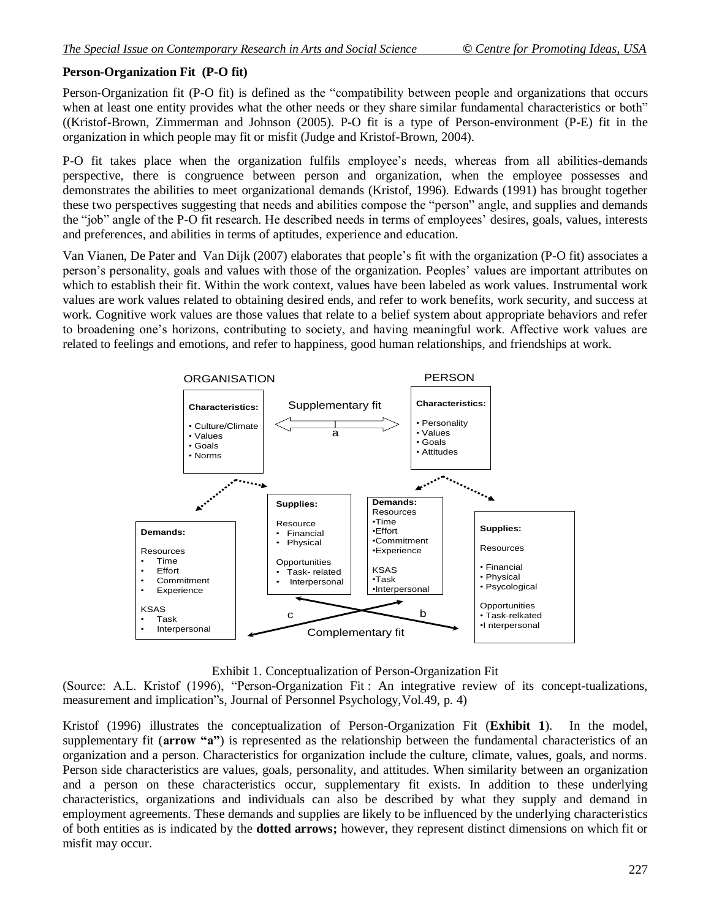### **Person-Organization Fit (P-O fit)**

Person-Organization fit (P-O fit) is defined as the "compatibility between people and organizations that occurs when at least one entity provides what the other needs or they share similar fundamental characteristics or both" ((Kristof-Brown, Zimmerman and Johnson (2005). P-O fit is a type of Person-environment (P-E) fit in the organization in which people may fit or misfit (Judge and Kristof-Brown, 2004).

P-O fit takes place when the organization fulfils employee"s needs, whereas from all abilities-demands perspective, there is congruence between person and organization, when the employee possesses and demonstrates the abilities to meet organizational demands (Kristof, 1996). Edwards (1991) has brought together these two perspectives suggesting that needs and abilities compose the "person" angle, and supplies and demands the "job" angle of the P-O fit research. He described needs in terms of employees' desires, goals, values, interests and preferences, and abilities in terms of aptitudes, experience and education.

Van Vianen, De Pater and Van Dijk (2007) elaborates that people"s fit with the organization (P-O fit) associates a person"s personality, goals and values with those of the organization. Peoples" values are important attributes on which to establish their fit. Within the work context, values have been labeled as work values. Instrumental work values are work values related to obtaining desired ends, and refer to work benefits, work security, and success at work. Cognitive work values are those values that relate to a belief system about appropriate behaviors and refer to broadening one"s horizons, contributing to society, and having meaningful work. Affective work values are related to feelings and emotions, and refer to happiness, good human relationships, and friendships at work.



#### Exhibit 1. Conceptualization of Person-Organization Fit

(Source: A.L. Kristof (1996), "Person-Organization Fit : An integrative review of its concept-tualizations, measurement and implication"s, Journal of Personnel Psychology,Vol.49, p. 4)

Kristof (1996) illustrates the conceptualization of Person-Organization Fit (**Exhibit 1**). In the model, supplementary fit (**arrow "a"**) is represented as the relationship between the fundamental characteristics of an organization and a person. Characteristics for organization include the culture, climate, values, goals, and norms. Person side characteristics are values, goals, personality, and attitudes. When similarity between an organization and a person on these characteristics occur, supplementary fit exists. In addition to these underlying characteristics, organizations and individuals can also be described by what they supply and demand in employment agreements. These demands and supplies are likely to be influenced by the underlying characteristics of both entities as is indicated by the **dotted arrows;** however, they represent distinct dimensions on which fit or misfit may occur.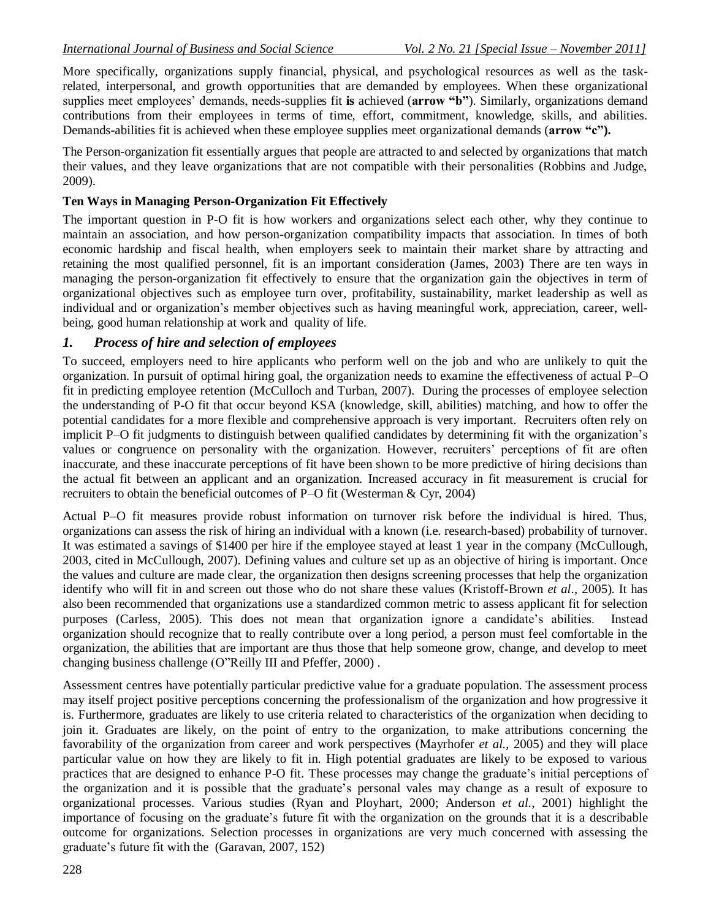More specifically, organizations supply financial, physical, and psychological resources as well as the taskrelated, interpersonal, and growth opportunities that are demanded by employees. When these organizational supplies meet employees' demands, needs-supplies fit is achieved (**arrow "b"**). Similarly, organizations demand contributions from their employees in terms of time, effort, commitment, knowledge, skills, and abilities. Demands-abilities fit is achieved when these employee supplies meet organizational demands (**arrow "c").**

The Person-organization fit essentially argues that people are attracted to and selected by organizations that match their values, and they leave organizations that are not compatible with their personalities (Robbins and Judge, 2009).

#### **Ten Ways in Managing Person-Organization Fit Effectively**

The important question in P-O fit is how workers and organizations select each other, why they continue to maintain an association, and how person-organization compatibility impacts that association. In times of both economic hardship and fiscal health, when employers seek to maintain their market share by attracting and retaining the most qualified personnel, fit is an important consideration (James, 2003) There are ten ways in managing the person-organization fit effectively to ensure that the organization gain the objectives in term of organizational objectives such as employee turn over, profitability, sustainability, market leadership as well as individual and or organization"s member objectives such as having meaningful work, appreciation, career, wellbeing, good human relationship at work and quality of life.

#### *1. Process of hire and selection of employees*

To succeed, employers need to hire applicants who perform well on the job and who are unlikely to quit the organization. In pursuit of optimal hiring goal, the organization needs to examine the effectiveness of actual P–O fit in predicting employee retention (McCulloch and Turban, 2007). During the processes of employee selection the understanding of P-O fit that occur beyond KSA (knowledge, skill, abilities) matching, and how to offer the potential candidates for a more flexible and comprehensive approach is very important. Recruiters often rely on implicit P–O fit judgments to distinguish between qualified candidates by determining fit with the organization's values or congruence on personality with the organization. However, recruiters" perceptions of fit are often inaccurate, and these inaccurate perceptions of fit have been shown to be more predictive of hiring decisions than the actual fit between an applicant and an organization. Increased accuracy in fit measurement is crucial for recruiters to obtain the beneficial outcomes of P–O fit (Westerman & Cyr, 2004)

Actual P–O fit measures provide robust information on turnover risk before the individual is hired. Thus, organizations can assess the risk of hiring an individual with a known (i.e. research-based) probability of turnover. It was estimated a savings of \$1400 per hire if the employee stayed at least 1 year in the company (McCullough, 2003, cited in McCullough, 2007). Defining values and culture set up as an objective of hiring is important. Once the values and culture are made clear, the organization then designs screening processes that help the organization identify who will fit in and screen out those who do not share these values (Kristoff-Brown *et al*., 2005). It has also been recommended that organizations use a standardized common metric to assess applicant fit for selection purposes (Carless, 2005). This does not mean that organization ignore a candidate's abilities. Instead organization should recognize that to really contribute over a long period, a person must feel comfortable in the organization, the abilities that are important are thus those that help someone grow, change, and develop to meet changing business challenge (O"Reilly III and Pfeffer, 2000) .

Assessment centres have potentially particular predictive value for a graduate population. The assessment process may itself project positive perceptions concerning the professionalism of the organization and how progressive it is. Furthermore, graduates are likely to use criteria related to characteristics of the organization when deciding to join it. Graduates are likely, on the point of entry to the organization, to make attributions concerning the favorability of the organization from career and work perspectives (Mayrhofer *et al.*, 2005) and they will place particular value on how they are likely to fit in. High potential graduates are likely to be exposed to various practices that are designed to enhance P-O fit. These processes may change the graduate"s initial perceptions of the organization and it is possible that the graduate"s personal vales may change as a result of exposure to organizational processes. Various studies (Ryan and Ployhart, 2000; Anderson *et al.*, 2001) highlight the importance of focusing on the graduate"s future fit with the organization on the grounds that it is a describable outcome for organizations. Selection processes in organizations are very much concerned with assessing the graduate"s future fit with the (Garavan, 2007, 152)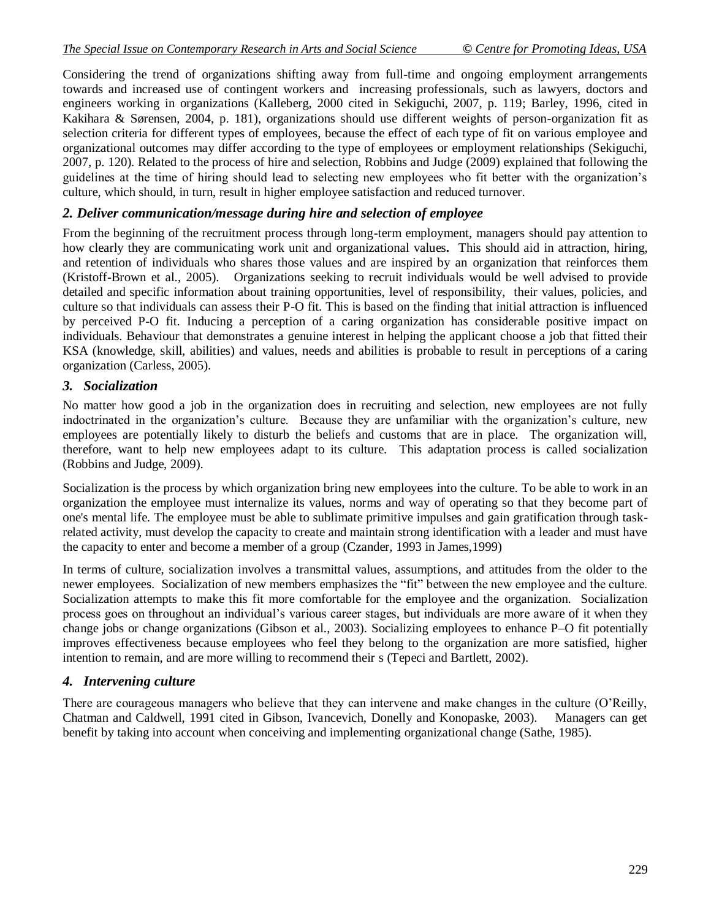Considering the trend of organizations shifting away from full-time and ongoing employment arrangements towards and increased use of contingent workers and increasing professionals, such as lawyers, doctors and engineers working in organizations (Kalleberg, 2000 cited in Sekiguchi, 2007, p. 119; Barley, 1996, cited in Kakihara & Sørensen, 2004, p. 181), organizations should use different weights of person-organization fit as selection criteria for different types of employees, because the effect of each type of fit on various employee and organizational outcomes may differ according to the type of employees or employment relationships (Sekiguchi, 2007, p. 120). Related to the process of hire and selection, Robbins and Judge (2009) explained that following the guidelines at the time of hiring should lead to selecting new employees who fit better with the organization"s culture, which should, in turn, result in higher employee satisfaction and reduced turnover.

### *2. Deliver communication/message during hire and selection of employee*

From the beginning of the recruitment process through long-term employment, managers should pay attention to how clearly they are communicating work unit and organizational values**.** This should aid in attraction, hiring, and retention of individuals who shares those values and are inspired by an organization that reinforces them (Kristoff-Brown et al., 2005). Organizations seeking to recruit individuals would be well advised to provide detailed and specific information about training opportunities, level of responsibility, their values, policies, and culture so that individuals can assess their P-O fit. This is based on the finding that initial attraction is influenced by perceived P-O fit. Inducing a perception of a caring organization has considerable positive impact on individuals. Behaviour that demonstrates a genuine interest in helping the applicant choose a job that fitted their KSA (knowledge, skill, abilities) and values, needs and abilities is probable to result in perceptions of a caring organization (Carless, 2005).

#### *3. Socialization*

No matter how good a job in the organization does in recruiting and selection, new employees are not fully indoctrinated in the organization"s culture. Because they are unfamiliar with the organization"s culture, new employees are potentially likely to disturb the beliefs and customs that are in place. The organization will, therefore, want to help new employees adapt to its culture. This adaptation process is called socialization (Robbins and Judge, 2009).

Socialization is the process by which organization bring new employees into the culture. To be able to work in an organization the employee must internalize its values, norms and way of operating so that they become part of one's mental life. The employee must be able to sublimate primitive impulses and gain gratification through taskrelated activity, must develop the capacity to create and maintain strong identification with a leader and must have the capacity to enter and become a member of a group (Czander, 1993 in James,1999)

In terms of culture, socialization involves a transmittal values, assumptions, and attitudes from the older to the newer employees. Socialization of new members emphasizes the "fit" between the new employee and the culture. Socialization attempts to make this fit more comfortable for the employee and the organization. Socialization process goes on throughout an individual"s various career stages, but individuals are more aware of it when they change jobs or change organizations (Gibson et al., 2003). Socializing employees to enhance P–O fit potentially improves effectiveness because employees who feel they belong to the organization are more satisfied, higher intention to remain, and are more willing to recommend their s (Tepeci and Bartlett, 2002).

#### *4. Intervening culture*

There are courageous managers who believe that they can intervene and make changes in the culture (O"Reilly, Chatman and Caldwell, 1991 cited in Gibson, Ivancevich, Donelly and Konopaske, 2003). Managers can get benefit by taking into account when conceiving and implementing organizational change (Sathe, 1985).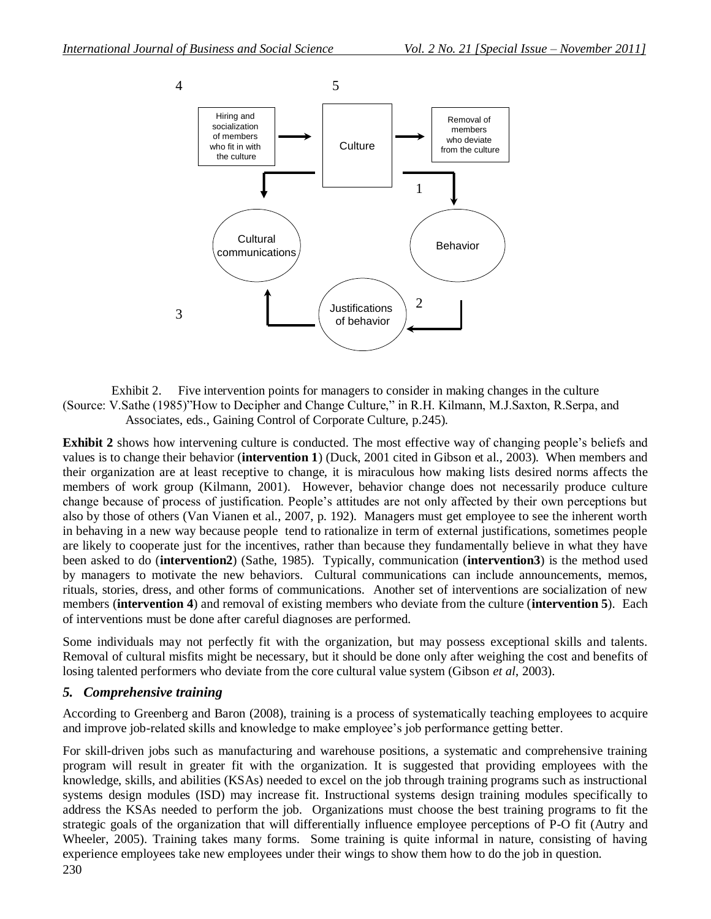

Exhibit 2. Five intervention points for managers to consider in making changes in the culture (Source: V.Sathe (1985)"How to Decipher and Change Culture," in R.H. Kilmann, M.J.Saxton, R.Serpa, and Associates, eds., Gaining Control of Corporate Culture, p.245).

**Exhibit 2** shows how intervening culture is conducted. The most effective way of changing people's beliefs and values is to change their behavior (**intervention 1**) (Duck, 2001 cited in Gibson et al., 2003). When members and their organization are at least receptive to change, it is miraculous how making lists desired norms affects the members of work group (Kilmann, 2001). However, behavior change does not necessarily produce culture change because of process of justification. People"s attitudes are not only affected by their own perceptions but also by those of others (Van Vianen et al., 2007, p. 192). Managers must get employee to see the inherent worth in behaving in a new way because people tend to rationalize in term of external justifications, sometimes people are likely to cooperate just for the incentives, rather than because they fundamentally believe in what they have been asked to do (**intervention2**) (Sathe, 1985). Typically, communication (**intervention3**) is the method used by managers to motivate the new behaviors. Cultural communications can include announcements, memos, rituals, stories, dress, and other forms of communications. Another set of interventions are socialization of new members (**intervention 4**) and removal of existing members who deviate from the culture (**intervention 5**). Each of interventions must be done after careful diagnoses are performed.

Some individuals may not perfectly fit with the organization, but may possess exceptional skills and talents. Removal of cultural misfits might be necessary, but it should be done only after weighing the cost and benefits of losing talented performers who deviate from the core cultural value system (Gibson *et al*, 2003).

#### *5. Comprehensive training*

According to Greenberg and Baron (2008), training is a process of systematically teaching employees to acquire and improve job-related skills and knowledge to make employee's job performance getting better.

For skill-driven jobs such as manufacturing and warehouse positions, a systematic and comprehensive training program will result in greater fit with the organization. It is suggested that providing employees with the knowledge, skills, and abilities (KSAs) needed to excel on the job through training programs such as instructional systems design modules (ISD) may increase fit. Instructional systems design training modules specifically to address the KSAs needed to perform the job. Organizations must choose the best training programs to fit the strategic goals of the organization that will differentially influence employee perceptions of P-O fit (Autry and Wheeler, 2005). Training takes many forms. Some training is quite informal in nature, consisting of having experience employees take new employees under their wings to show them how to do the job in question.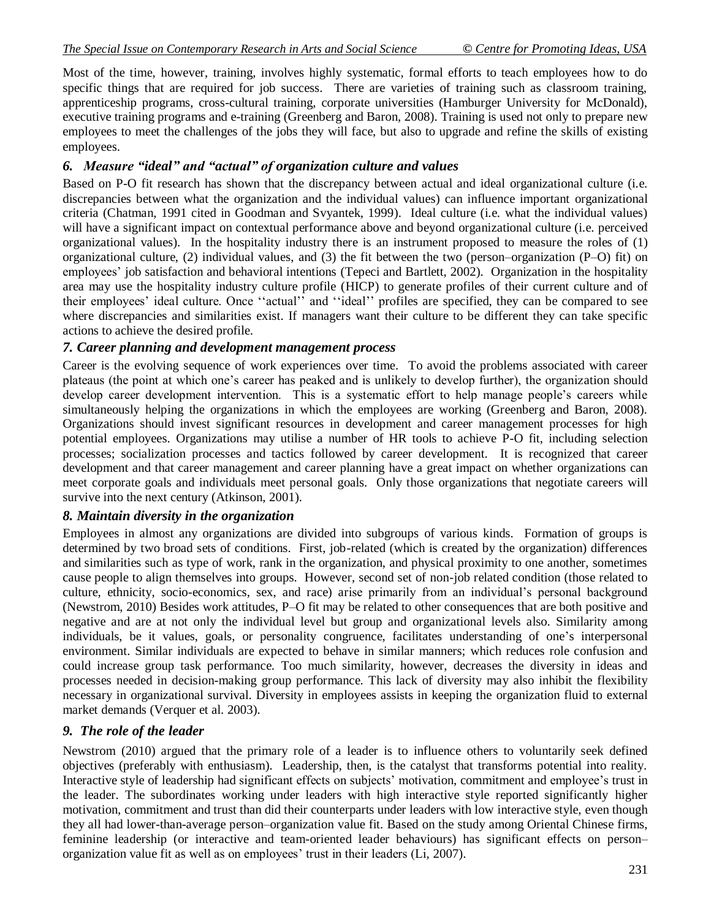Most of the time, however, training, involves highly systematic, formal efforts to teach employees how to do specific things that are required for job success. There are varieties of training such as classroom training, apprenticeship programs, cross-cultural training, corporate universities (Hamburger University for McDonald), executive training programs and e-training (Greenberg and Baron, 2008). Training is used not only to prepare new employees to meet the challenges of the jobs they will face, but also to upgrade and refine the skills of existing employees.

### *6. Measure "ideal" and "actual" of organization culture and values*

Based on P-O fit research has shown that the discrepancy between actual and ideal organizational culture (i.e. discrepancies between what the organization and the individual values) can influence important organizational criteria (Chatman, 1991 cited in Goodman and Svyantek, 1999). Ideal culture (i.e. what the individual values) will have a significant impact on contextual performance above and beyond organizational culture (i.e. perceived organizational values). In the hospitality industry there is an instrument proposed to measure the roles of (1) organizational culture, (2) individual values, and (3) the fit between the two (person–organization (P–O) fit) on employees" job satisfaction and behavioral intentions (Tepeci and Bartlett, 2002). Organization in the hospitality area may use the hospitality industry culture profile (HICP) to generate profiles of their current culture and of their employees' ideal culture. Once "actual" and "ideal" profiles are specified, they can be compared to see where discrepancies and similarities exist. If managers want their culture to be different they can take specific actions to achieve the desired profile.

#### *7. Career planning and development management process*

Career is the evolving sequence of work experiences over time. To avoid the problems associated with career plateaus (the point at which one"s career has peaked and is unlikely to develop further), the organization should develop career development intervention. This is a systematic effort to help manage people's careers while simultaneously helping the organizations in which the employees are working (Greenberg and Baron, 2008). Organizations should invest significant resources in development and career management processes for high potential employees. Organizations may utilise a number of HR tools to achieve P-O fit, including selection processes; socialization processes and tactics followed by career development. It is recognized that career development and that career management and career planning have a great impact on whether organizations can meet corporate goals and individuals meet personal goals. Only those organizations that negotiate careers will survive into the next century (Atkinson, 2001).

#### *8. Maintain diversity in the organization*

Employees in almost any organizations are divided into subgroups of various kinds. Formation of groups is determined by two broad sets of conditions. First, job-related (which is created by the organization) differences and similarities such as type of work, rank in the organization, and physical proximity to one another, sometimes cause people to align themselves into groups. However, second set of non-job related condition (those related to culture, ethnicity, socio-economics, sex, and race) arise primarily from an individual"s personal background (Newstrom, 2010) Besides work attitudes, P–O fit may be related to other consequences that are both positive and negative and are at not only the individual level but group and organizational levels also. Similarity among individuals, be it values, goals, or personality congruence, facilitates understanding of one"s interpersonal environment. Similar individuals are expected to behave in similar manners; which reduces role confusion and could increase group task performance. Too much similarity, however, decreases the diversity in ideas and processes needed in decision-making group performance. This lack of diversity may also inhibit the flexibility necessary in organizational survival. Diversity in employees assists in keeping the organization fluid to external market demands (Verquer et al. 2003).

#### *9. The role of the leader*

Newstrom (2010) argued that the primary role of a leader is to influence others to voluntarily seek defined objectives (preferably with enthusiasm). Leadership, then, is the catalyst that transforms potential into reality. Interactive style of leadership had significant effects on subjects' motivation, commitment and employee's trust in the leader. The subordinates working under leaders with high interactive style reported significantly higher motivation, commitment and trust than did their counterparts under leaders with low interactive style, even though they all had lower-than-average person–organization value fit. Based on the study among Oriental Chinese firms, feminine leadership (or interactive and team-oriented leader behaviours) has significant effects on person– organization value fit as well as on employees" trust in their leaders (Li, 2007).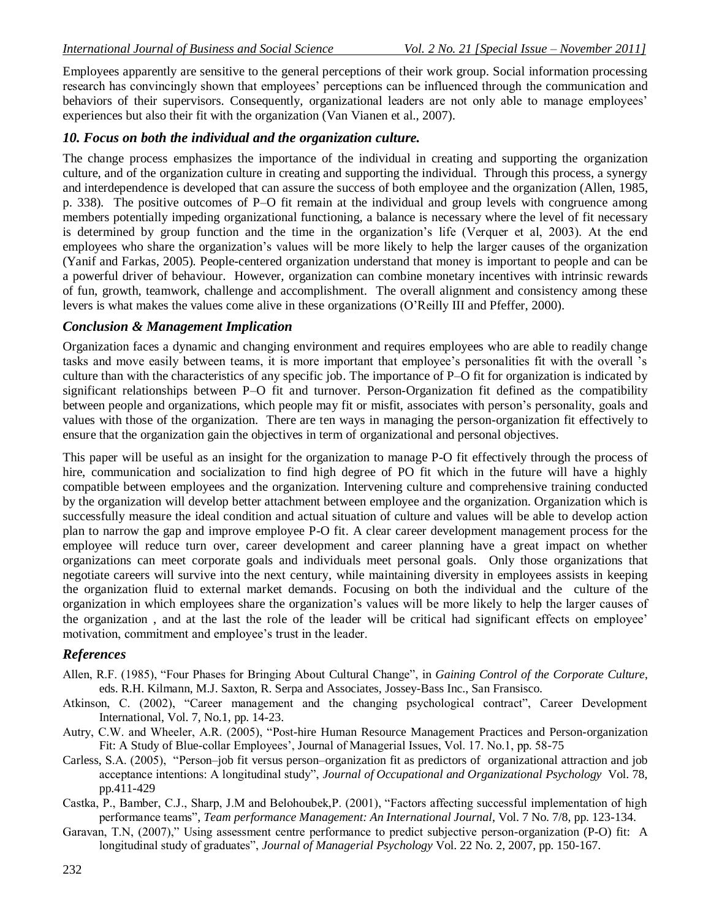Employees apparently are sensitive to the general perceptions of their work group. Social information processing research has convincingly shown that employees' perceptions can be influenced through the communication and behaviors of their supervisors. Consequently, organizational leaders are not only able to manage employees' experiences but also their fit with the organization (Van Vianen et al., 2007).

# *10. Focus on both the individual and the organization culture.*

The change process emphasizes the importance of the individual in creating and supporting the organization culture, and of the organization culture in creating and supporting the individual. Through this process, a synergy and interdependence is developed that can assure the success of both employee and the organization (Allen, 1985, p. 338). The positive outcomes of P–O fit remain at the individual and group levels with congruence among members potentially impeding organizational functioning, a balance is necessary where the level of fit necessary is determined by group function and the time in the organization"s life (Verquer et al, 2003). At the end employees who share the organization"s values will be more likely to help the larger causes of the organization (Yanif and Farkas, 2005). People-centered organization understand that money is important to people and can be a powerful driver of behaviour. However, organization can combine monetary incentives with intrinsic rewards of fun, growth, teamwork, challenge and accomplishment. The overall alignment and consistency among these levers is what makes the values come alive in these organizations (O"Reilly III and Pfeffer, 2000).

# *Conclusion & Management Implication*

Organization faces a dynamic and changing environment and requires employees who are able to readily change tasks and move easily between teams, it is more important that employee"s personalities fit with the overall "s culture than with the characteristics of any specific job. The importance of P–O fit for organization is indicated by significant relationships between P–O fit and turnover. Person-Organization fit defined as the compatibility between people and organizations, which people may fit or misfit, associates with person"s personality, goals and values with those of the organization. There are ten ways in managing the person-organization fit effectively to ensure that the organization gain the objectives in term of organizational and personal objectives.

This paper will be useful as an insight for the organization to manage P-O fit effectively through the process of hire, communication and socialization to find high degree of PO fit which in the future will have a highly compatible between employees and the organization. Intervening culture and comprehensive training conducted by the organization will develop better attachment between employee and the organization. Organization which is successfully measure the ideal condition and actual situation of culture and values will be able to develop action plan to narrow the gap and improve employee P-O fit. A clear career development management process for the employee will reduce turn over, career development and career planning have a great impact on whether organizations can meet corporate goals and individuals meet personal goals. Only those organizations that negotiate careers will survive into the next century, while maintaining diversity in employees assists in keeping the organization fluid to external market demands. Focusing on both the individual and the culture of the organization in which employees share the organization"s values will be more likely to help the larger causes of the organization , and at the last the role of the leader will be critical had significant effects on employee" motivation, commitment and employee"s trust in the leader.

### *References*

- Allen, R.F. (1985), "Four Phases for Bringing About Cultural Change", in *Gaining Control of the Corporate Culture*, eds. R.H. Kilmann, M.J. Saxton, R. Serpa and Associates, Jossey-Bass Inc., San Fransisco.
- Atkinson, C. (2002), "Career management and the changing psychological contract", Career Development International, Vol. 7, No.1, pp. 14-23.
- Autry, C.W. and Wheeler, A.R. (2005), "Post-hire Human Resource Management Practices and Person-organization Fit: A Study of Blue-collar Employees', Journal of Managerial Issues, Vol. 17. No.1, pp. 58-75
- Carless, S.A. (2005), "Person–job fit versus person–organization fit as predictors of organizational attraction and job acceptance intentions: A longitudinal study", *Journal of Occupational and Organizational Psychology* Vol. 78, pp.411-429
- Castka, P., Bamber, C.J., Sharp, J.M and Belohoubek,P. (2001), "Factors affecting successful implementation of high performance teams", *Team performance Management: An International Journal*, Vol. 7 No. 7/8, pp. 123-134.
- Garavan, T.N, (2007)," Using assessment centre performance to predict subjective person-organization (P-O) fit: A longitudinal study of graduates", *Journal of Managerial Psychology* Vol. 22 No. 2, 2007, pp. 150-167.